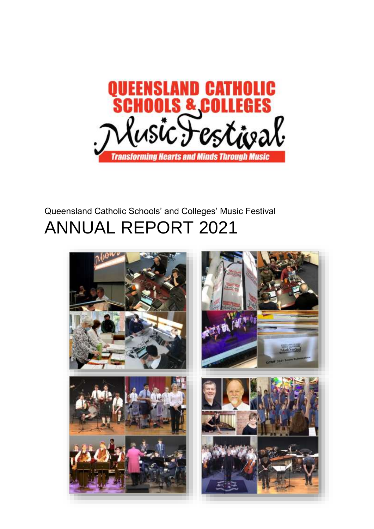

# Queensland Catholic Schools' and Colleges' Music Festival ANNUAL REPORT 2021

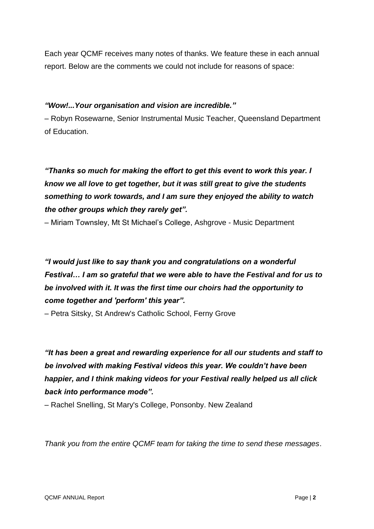Each year QCMF receives many notes of thanks. We feature these in each annual report. Below are the comments we could not include for reasons of space:

### *"Wow!...Your organisation and vision are incredible."*

– Robyn Rosewarne, Senior Instrumental Music Teacher, Queensland Department of Education.

## *"Thanks so much for making the effort to get this event to work this year. I know we all love to get together, but it was still great to give the students something to work towards, and I am sure they enjoyed the ability to watch the other groups which they rarely get".*

– Miriam Townsley, Mt St Michael's College, Ashgrove - Music Department

## *"I would just like to say thank you and congratulations on a wonderful Festival… I am so grateful that we were able to have the Festival and for us to be involved with it. It was the first time our choirs had the opportunity to come together and 'perform' this year".*

– Petra Sitsky, St Andrew's Catholic School, Ferny Grove

*"It has been a great and rewarding experience for all our students and staff to be involved with making Festival videos this year. We couldn't have been happier, and I think making videos for your Festival really helped us all click back into performance mode".*

– Rachel Snelling, St Mary's College, Ponsonby. New Zealand

*Thank you from the entire QCMF team for taking the time to send these messages*.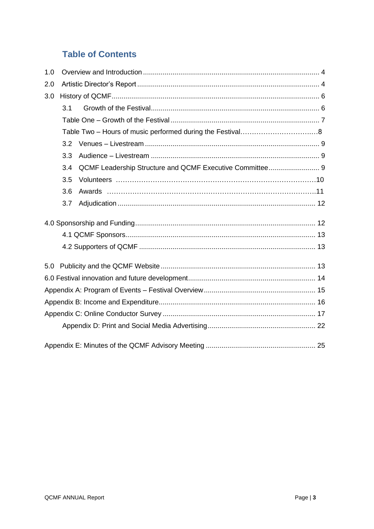## **Table of Contents**

| 1.0 |     |  |  |  |  |  |  |
|-----|-----|--|--|--|--|--|--|
| 2.0 |     |  |  |  |  |  |  |
| 3.0 |     |  |  |  |  |  |  |
|     | 3.1 |  |  |  |  |  |  |
|     |     |  |  |  |  |  |  |
|     |     |  |  |  |  |  |  |
|     | 3.2 |  |  |  |  |  |  |
|     | 3.3 |  |  |  |  |  |  |
|     | 3.4 |  |  |  |  |  |  |
|     | 3.5 |  |  |  |  |  |  |
|     | 3.6 |  |  |  |  |  |  |
|     | 3.7 |  |  |  |  |  |  |
|     |     |  |  |  |  |  |  |
|     |     |  |  |  |  |  |  |
|     |     |  |  |  |  |  |  |
|     |     |  |  |  |  |  |  |
|     |     |  |  |  |  |  |  |
|     |     |  |  |  |  |  |  |
|     |     |  |  |  |  |  |  |
|     |     |  |  |  |  |  |  |
|     |     |  |  |  |  |  |  |
|     |     |  |  |  |  |  |  |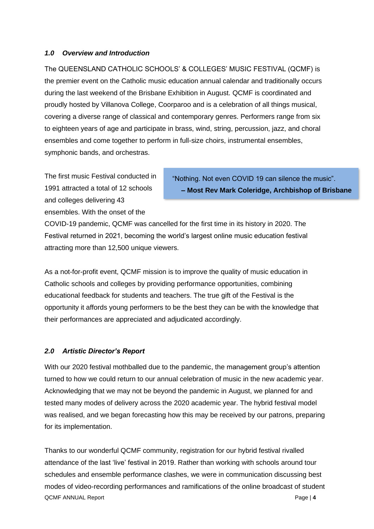#### <span id="page-3-0"></span>*1.0 Overview and Introduction*

The QUEENSLAND CATHOLIC SCHOOLS' & COLLEGES' MUSIC FESTIVAL (QCMF) is the premier event on the Catholic music education annual calendar and traditionally occurs during the last weekend of the Brisbane Exhibition in August. QCMF is coordinated and proudly hosted by Villanova College, Coorparoo and is a celebration of all things musical, covering a diverse range of classical and contemporary genres. Performers range from six to eighteen years of age and participate in brass, wind, string, percussion, jazz, and choral ensembles and come together to perform in full-size choirs, instrumental ensembles, symphonic bands, and orchestras.

The first music Festival conducted in 1991 attracted a total of 12 schools and colleges delivering 43 ensembles. With the onset of the

"Nothing. Not even COVID 19 can silence the music". **– Most Rev Mark Coleridge, Archbishop of Brisbane**

COVID-19 pandemic, QCMF was cancelled for the first time in its history in 2020. The Festival returned in 2021, becoming the world's largest online music education festival attracting more than 12,500 unique viewers.

As a not-for-profit event, QCMF mission is to improve the quality of music education in Catholic schools and colleges by providing performance opportunities, combining educational feedback for students and teachers. The true gift of the Festival is the opportunity it affords young performers to be the best they can be with the knowledge that their performances are appreciated and adjudicated accordingly.

### <span id="page-3-1"></span>*2.0 Artistic Director's Report*

With our 2020 festival mothballed due to the pandemic, the management group's attention turned to how we could return to our annual celebration of music in the new academic year. Acknowledging that we may not be beyond the pandemic in August, we planned for and tested many modes of delivery across the 2020 academic year. The hybrid festival model was realised, and we began forecasting how this may be received by our patrons, preparing for its implementation.

QCMF ANNUAL Report **Page 14** Thanks to our wonderful QCMF community, registration for our hybrid festival rivalled attendance of the last 'live' festival in 2019. Rather than working with schools around tour schedules and ensemble performance clashes, we were in communication discussing best modes of video-recording performances and ramifications of the online broadcast of student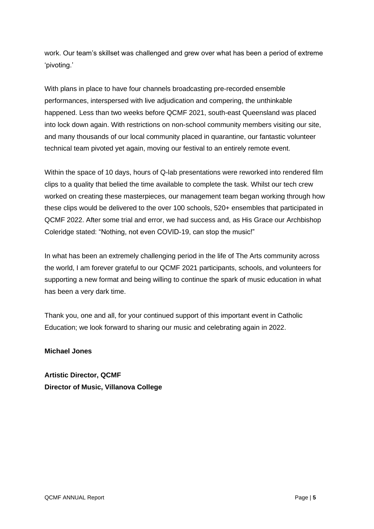work. Our team's skillset was challenged and grew over what has been a period of extreme 'pivoting.'

With plans in place to have four channels broadcasting pre-recorded ensemble performances, interspersed with live adjudication and compering, the unthinkable happened. Less than two weeks before QCMF 2021, south-east Queensland was placed into lock down again. With restrictions on non-school community members visiting our site, and many thousands of our local community placed in quarantine, our fantastic volunteer technical team pivoted yet again, moving our festival to an entirely remote event.

Within the space of 10 days, hours of Q-lab presentations were reworked into rendered film clips to a quality that belied the time available to complete the task. Whilst our tech crew worked on creating these masterpieces, our management team began working through how these clips would be delivered to the over 100 schools, 520+ ensembles that participated in QCMF 2022. After some trial and error, we had success and, as His Grace our Archbishop Coleridge stated: "Nothing, not even COVID-19, can stop the music!"

In what has been an extremely challenging period in the life of The Arts community across the world, I am forever grateful to our QCMF 2021 participants, schools, and volunteers for supporting a new format and being willing to continue the spark of music education in what has been a very dark time.

Thank you, one and all, for your continued support of this important event in Catholic Education; we look forward to sharing our music and celebrating again in 2022.

**Michael Jones**

**Artistic Director, QCMF Director of Music, Villanova College**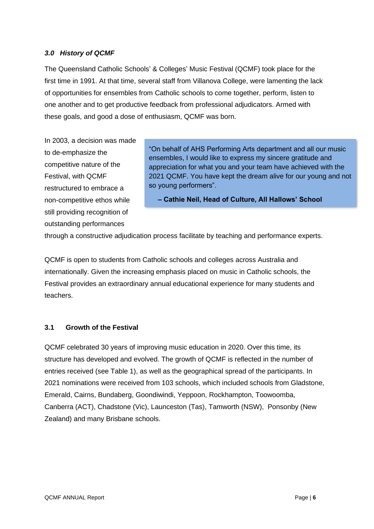#### <span id="page-5-0"></span>*3.0 History of QCMF*

The Queensland Catholic Schools' & Colleges' Music Festival (QCMF) took place for the first time in 1991. At that time, several staff from Villanova College, were lamenting the lack of opportunities for ensembles from Catholic schools to come together, perform, listen to one another and to get productive feedback from professional adjudicators. Armed with these goals, and good a dose of enthusiasm, QCMF was born.

In 2003, a decision was made to de-emphasize the competitive nature of the Festival, with QCMF restructured to embrace a non-competitive ethos while still providing recognition of outstanding performances

"On behalf of AHS Performing Arts department and all our music ensembles, I would like to express my sincere gratitude and appreciation for what you and your team have achieved with the 2021 QCMF. You have kept the dream alive for our young and not so young performers".

**– Cathie Neil, Head of Culture, All Hallows' School** 

through a constructive adjudication process facilitate by teaching and performance experts.

QCMF is open to students from Catholic schools and colleges across Australia and internationally. Given the increasing emphasis placed on music in Catholic schools, the Festival provides an extraordinary annual educational experience for many students and teachers.

#### <span id="page-5-1"></span>**3.1 Growth of the Festival**

QCMF celebrated 30 years of improving music education in 2020. Over this time, its structure has developed and evolved. The growth of QCMF is reflected in the number of entries received (see Table 1), as well as the geographical spread of the participants. In 2021 nominations were received from 103 schools, which included schools from Gladstone, Emerald, Cairns, Bundaberg, Goondiwindi, Yeppoon, Rockhampton, Toowoomba, Canberra (ACT), Chadstone (Vic), Launceston (Tas), Tamworth (NSW), Ponsonby (New Zealand) and many Brisbane schools.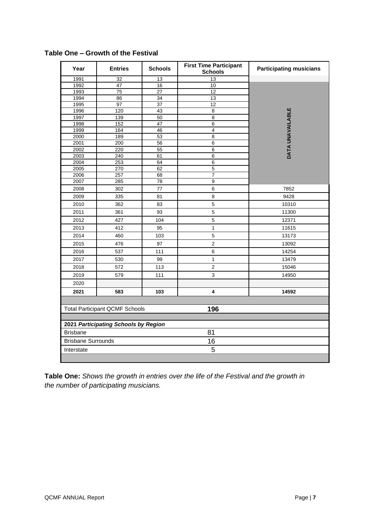| Year                                         | <b>Entries</b>  | <b>Schools</b>  | <b>First Time Participant</b><br><b>Schools</b> | <b>Participating musicians</b> |  |  |  |  |
|----------------------------------------------|-----------------|-----------------|-------------------------------------------------|--------------------------------|--|--|--|--|
| 1991                                         | $\overline{32}$ | 13              | 13                                              |                                |  |  |  |  |
| 1992                                         | 47              | 16              | 10                                              |                                |  |  |  |  |
| 1993                                         | $\overline{75}$ | $\overline{27}$ | 12                                              |                                |  |  |  |  |
| 1994                                         | 86              | $\overline{34}$ | 13                                              |                                |  |  |  |  |
| 1995                                         | 97              | $\overline{37}$ | 12                                              |                                |  |  |  |  |
| 1996                                         | 120             | 43              | $\overline{8}$                                  | DATA UNAVAILABLE               |  |  |  |  |
| 1997                                         | 139             | 50              | $\overline{8}$                                  |                                |  |  |  |  |
| 1998<br>1999                                 | 152<br>164      | 47<br>46        | $6\overline{6}$<br>$\overline{4}$               |                                |  |  |  |  |
| 2000                                         | 189             | 53              | $\overline{8}$                                  |                                |  |  |  |  |
| 2001                                         | 200             | 56              | $\overline{6}$                                  |                                |  |  |  |  |
| 2002                                         | 220             | 55              | 6                                               |                                |  |  |  |  |
| 2003                                         | 240             | 61              | $\overline{6}$                                  |                                |  |  |  |  |
| 2004                                         | 253             | 64              | $6\overline{6}$                                 |                                |  |  |  |  |
| 2005                                         | 270             | 62              | $\overline{5}$                                  |                                |  |  |  |  |
| 2006                                         | 257             | 68              | $\overline{7}$                                  |                                |  |  |  |  |
| 2007                                         | 285             | 78              | 9                                               |                                |  |  |  |  |
| 2008                                         | 302             | 77              | $\,6$                                           | 7852                           |  |  |  |  |
| 2009                                         | 335             | 81              | $\bf 8$                                         | 9428                           |  |  |  |  |
| 2010                                         | 362             | 83              | $\mathbf 5$                                     | 10310                          |  |  |  |  |
| 2011                                         | 361             | 93              | 5                                               | 11300                          |  |  |  |  |
| 2012                                         | 427             | 104             | $\mathbf 5$                                     | 12371                          |  |  |  |  |
| 2013                                         | 412             | 95              | $\mathbf{1}$                                    | 11615                          |  |  |  |  |
| 2014                                         | 460             | 103             | $\mathbf 5$                                     | 13173                          |  |  |  |  |
| 2015                                         | 476             | 97              | $\overline{c}$                                  | 13092                          |  |  |  |  |
| 2016                                         | 537             | 111             | $\,6$                                           | 14254                          |  |  |  |  |
| 2017                                         | 530             | 99              | $\mathbf{1}$                                    | 13479                          |  |  |  |  |
| 2018                                         | 572             | 113             | $\overline{2}$                                  | 15046                          |  |  |  |  |
| 2019                                         | 579             | 111             | 3                                               | 14950                          |  |  |  |  |
| 2020                                         |                 |                 |                                                 |                                |  |  |  |  |
| 2021                                         | 583             | 103             | $\pmb{4}$                                       | 14592                          |  |  |  |  |
|                                              |                 |                 |                                                 |                                |  |  |  |  |
| <b>Total Participant QCMF Schools</b><br>196 |                 |                 |                                                 |                                |  |  |  |  |
|                                              |                 |                 |                                                 |                                |  |  |  |  |
| 2021 Participating Schools by Region         |                 |                 |                                                 |                                |  |  |  |  |
| <b>Brisbane</b>                              |                 |                 | 81                                              |                                |  |  |  |  |
| <b>Brisbane Surrounds</b>                    |                 |                 | 16                                              |                                |  |  |  |  |
| Interstate                                   |                 |                 | 5                                               |                                |  |  |  |  |
|                                              |                 |                 |                                                 |                                |  |  |  |  |

### <span id="page-6-0"></span>**Table One – Growth of the Festival**

**Table One:** *Shows the growth in entries over the life of the Festival and the growth in the number of participating musicians.*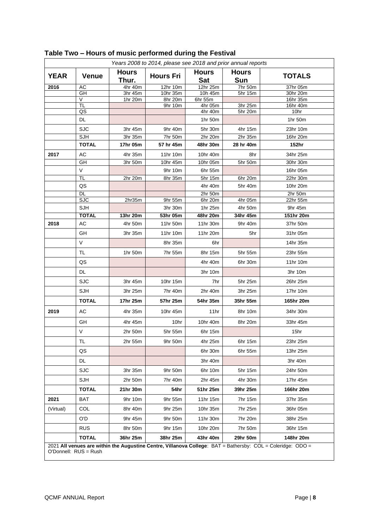| <b>YEAR</b> | <b>Venue</b> | <b>Hours</b><br>Thur. | <b>Hours Fri</b> | <b>Hours</b><br><b>Sat</b> | <b>Hours</b><br><b>Sun</b> | <b>TOTALS</b>    |
|-------------|--------------|-----------------------|------------------|----------------------------|----------------------------|------------------|
| 2016        | AC           | 4hr 40m               | 12hr 10m         | $\overline{12}$ hr 25m     | 7hr 50m                    | 37hr 05m         |
|             | GH           | 3hr 45m               | 10hr 35m         | 10h 45m                    | 5hr 15m                    | 30hr 20m         |
|             | V<br>TL      | 1hr 20m               | 8hr 20m          | 6hr 55m                    |                            | 16hr 35m         |
|             | QS           |                       | 9hr 10m          | $4hr$ 05m<br>4hr 40m       | 3hr 25m<br>5hr 20m         | 16hr 40m<br>10hr |
|             | DL           |                       |                  | 1hr 50m                    |                            | 1hr 50m          |
|             | <b>SJC</b>   | 3hr 45m               | 9hr 40m          | 5hr 30m                    | 4hr 15m                    | 23hr 10m         |
|             | SJH          | 3hr 35m               | 7hr 50m          | 2hr 20m                    | 2hr 35m                    | 16hr 20m         |
|             | <b>TOTAL</b> | 17hr 05m              | 57 hr 45m        | 48hr 30m                   | 28 hr 40m                  | 152hr            |
| 2017        | AC           | 4hr 35m               | 11hr 10m         | 10hr 40m                   | 8hr                        | 34hr 25m         |
|             | GH           | 3hr 50m               | 10hr 45m         | 10hr 05m                   | 5hr 50m                    | 30hr 30m         |
|             | $\vee$       |                       | 9hr 10m          | 6hr 55m                    |                            | 16hr 05m         |
|             | <b>TL</b>    | 2hr 20m               | 8hr 35m          | 5hr 15m                    | 6hr 20m                    | 22hr 30m         |
|             | QS           |                       |                  | 4hr 40m                    | 5hr 40m                    | 10hr 20m         |
|             | <b>DL</b>    |                       |                  | 2hr 50m                    |                            | $2hr$ 50m        |
|             | <b>SJC</b>   | 2hr35m                | 9hr 55m          | 6hr 20m                    | 4hr 05m                    | 22hr 55m         |
|             | <b>SJH</b>   |                       | 3hr 30m          | 1hr 25m                    | 4hr 50m                    | 9hr 45m          |
|             | <b>TOTAL</b> | 13hr 20m              | 53hr 05m         | 48hr 20m                   | 34hr 45m                   | 151hr 20m        |
| 2018        | AC           | 4hr 50m               | 11hr 50m         | 11hr 30m                   | 9hr 40m                    | 37hr 50m         |
|             | GH           | 3hr 35m               | 11hr 10m         | 11hr 20m                   | 5hr                        | 31hr 05m         |
|             | V            |                       | 8hr 35m          | 6hr                        |                            | 14hr 35m         |
|             | TL           | 1hr 50m               | 7hr 55m          | 8hr 15m                    | 5hr 55m                    | 23hr 55m         |
|             | QS           |                       |                  | 4hr 40m                    | 6hr 30m                    | 11hr 10m         |
|             | DL           |                       |                  | 3hr 10m                    |                            | 3hr 10m          |
|             | <b>SJC</b>   | 3hr 45m               | 10hr 15m         | 7hr                        | 5hr 25m                    | 26hr 25m         |
|             | <b>SJH</b>   | 3hr 25m               | 7hr 40m          | 2hr 40m                    | 3hr 25m                    | 17hr 10m         |
|             | <b>TOTAL</b> | 17hr 25m              | 57hr 25m         | 54hr 35m                   | 35hr 55m                   | 165hr 20m        |
| 2019        | АC           | 4hr 35m               | 10hr 45m         | 11hr                       | 8hr 10m                    | 34hr 30m         |
|             | GH           | 4hr 45m               | 10hr             | 10hr 40m                   | 8hr 20m                    | 33hr 45m         |
|             | V            | 2hr 50m               | 5hr 55m          | 6hr 15m                    |                            | 15hr             |
|             | <b>TL</b>    | 2hr 55m               | 9hr 50m          | 4hr 25m                    | 6hr 15m                    | 23hr 25m         |
|             | QS           |                       |                  | 6hr 30m                    | 6hr 55m                    | 13hr 25m         |
|             | DL           |                       |                  | 3hr 40m                    |                            | 3hr 40m          |
|             | <b>SJC</b>   | 3hr 35m               | 9hr 50m          | 6hr 10m                    | 5hr 15m                    | 24hr 50m         |
|             | <b>SJH</b>   | 2hr 50m               | 7hr 40m          | 2hr 45m                    | 4hr 30m                    | 17hr 45m         |
|             | <b>TOTAL</b> | 21hr 30m              | 54hr             | 51hr 25m                   | 39hr 25m                   | 166hr 20m        |
| 2021        | BAT          | 9hr 10m               | 9hr 55m          | 11hr 15m                   | 7hr 15m                    | 37hr 35m         |
| (Virtual)   | COL          | 8hr 40m               | 9hr 25m          | 10hr 35m                   | 7hr 25m                    | 36hr 05m         |
|             | O'D          | 9hr 45m               | 9hr 50m          | 11hr 30m                   | 7hr 20m                    | 38hr 25m         |
|             | <b>RUS</b>   | 8hr 50m               | 9hr 15m          | 10hr 20m                   | 7hr 50m                    | 36hr 15m         |
|             | <b>TOTAL</b> | 36hr 25m              | 38hr 25m         | 43hr 40m                   | 29hr 50m                   | 148hr 20m        |

## **Table Two – Hours of music performed during the Festival**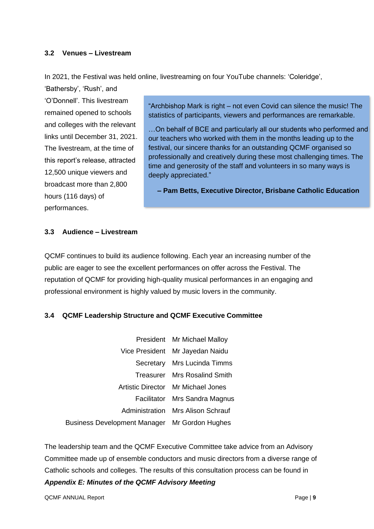#### <span id="page-8-0"></span>**3.2 Venues – Livestream**

In 2021, the Festival was held online, livestreaming on four YouTube channels: 'Coleridge',

'Bathersby', 'Rush', and 'O'Donnell'. This livestream remained opened to schools and colleges with the relevant links until December 31, 2021. The livestream, at the time of this report's release, attracted 12,500 unique viewers and broadcast more than 2,800 hours (116 days) of performances.

"Archbishop Mark is right – not even Covid can silence the music! The statistics of participants, viewers and performances are remarkable.

…On behalf of BCE and particularly all our students who performed and our teachers who worked with them in the months leading up to the festival, our sincere thanks for an outstanding QCMF organised so professionally and creatively during these most challenging times. The time and generosity of the staff and volunteers in so many ways is deeply appreciated."

**– Pam Betts, Executive Director, Brisbane Catholic Education** 

#### <span id="page-8-1"></span>**3.3 Audience – Livestream**

QCMF continues to build its audience following. Each year an increasing number of the public are eager to see the excellent performances on offer across the Festival. The reputation of QCMF for providing high-quality musical performances in an engaging and professional environment is highly valued by music lovers in the community.

### <span id="page-8-2"></span>**3.4 QCMF Leadership Structure and QCMF Executive Committee**

|                                               | President Mr Michael Malloy              |
|-----------------------------------------------|------------------------------------------|
|                                               | Vice President Mr Jayedan Naidu          |
|                                               | Secretary Mrs Lucinda Timms              |
|                                               | Treasurer Mrs Rosalind Smith             |
|                                               | Artistic Director Mr Michael Jones       |
|                                               | Facilitator Mrs Sandra Magnus            |
|                                               | <b>Administration</b> Mrs Alison Schrauf |
| Business Development Manager Mr Gordon Hughes |                                          |

The leadership team and the QCMF Executive Committee take advice from an Advisory Committee made up of ensemble conductors and music directors from a diverse range of Catholic schools and colleges. The results of this consultation process can be found in *Appendix E: Minutes of the QCMF Advisory Meeting*

QCMF ANNUAL Report **Page | 9**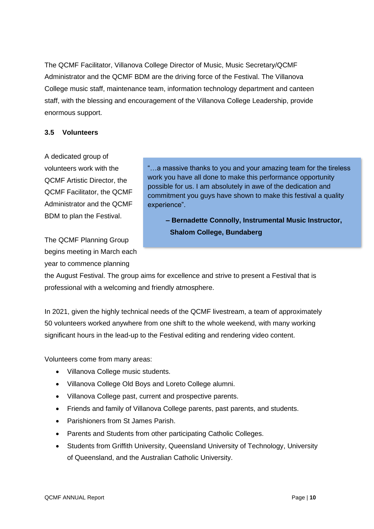The QCMF Facilitator, Villanova College Director of Music, Music Secretary/QCMF Administrator and the QCMF BDM are the driving force of the Festival. The Villanova College music staff, maintenance team, information technology department and canteen staff, with the blessing and encouragement of the Villanova College Leadership, provide enormous support.

#### <span id="page-9-0"></span>**3.5 Volunteers**

A dedicated group of volunteers work with the QCMF Artistic Director, the QCMF Facilitator, the QCMF Administrator and the QCMF BDM to plan the Festival.

The QCMF Planning Group begins meeting in March each year to commence planning

"…a massive thanks to you and your amazing team for the tireless work you have all done to make this performance opportunity possible for us. I am absolutely in awe of the dedication and commitment you guys have shown to make this festival a quality experience".

**– Bernadette Connolly, Instrumental Music Instructor, Shalom College, Bundaberg** 

the August Festival. The group aims for excellence and strive to present a Festival that is professional with a welcoming and friendly atmosphere.

In 2021, given the highly technical needs of the QCMF livestream, a team of approximately 50 volunteers worked anywhere from one shift to the whole weekend, with many working significant hours in the lead-up to the Festival editing and rendering video content.

Volunteers come from many areas:

- Villanova College music students.
- Villanova College Old Boys and Loreto College alumni.
- Villanova College past, current and prospective parents.
- Friends and family of Villanova College parents, past parents, and students.
- Parishioners from St James Parish.
- Parents and Students from other participating Catholic Colleges.
- Students from Griffith University, Queensland University of Technology, University of Queensland, and the Australian Catholic University.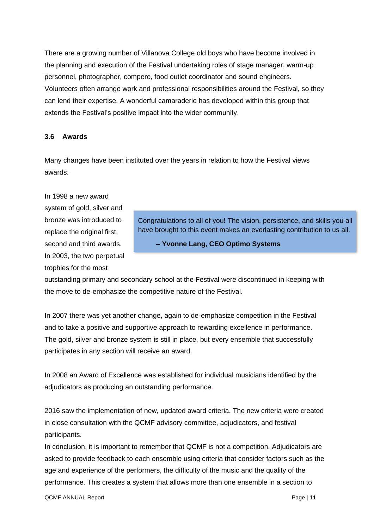There are a growing number of Villanova College old boys who have become involved in the planning and execution of the Festival undertaking roles of stage manager, warm-up personnel, photographer, compere, food outlet coordinator and sound engineers. Volunteers often arrange work and professional responsibilities around the Festival, so they can lend their expertise. A wonderful camaraderie has developed within this group that extends the Festival's positive impact into the wider community.

#### <span id="page-10-0"></span>**3.6 Awards**

Many changes have been instituted over the years in relation to how the Festival views awards.

In 1998 a new award system of gold, silver and bronze was introduced to replace the original first. second and third awards. In 2003, the two perpetual trophies for the most

Congratulations to all of you! The vision, persistence, and skills you all have brought to this event makes an everlasting contribution to us all.

**– Yvonne Lang, CEO Optimo Systems**

outstanding primary and secondary school at the Festival were discontinued in keeping with the move to de-emphasize the competitive nature of the Festival.

In 2007 there was yet another change, again to de-emphasize competition in the Festival and to take a positive and supportive approach to rewarding excellence in performance. The gold, silver and bronze system is still in place, but every ensemble that successfully participates in any section will receive an award.

In 2008 an Award of Excellence was established for individual musicians identified by the adjudicators as producing an outstanding performance.

2016 saw the implementation of new, updated award criteria. The new criteria were created in close consultation with the QCMF advisory committee, adjudicators, and festival participants.

In conclusion, it is important to remember that QCMF is not a competition. Adjudicators are asked to provide feedback to each ensemble using criteria that consider factors such as the age and experience of the performers, the difficulty of the music and the quality of the performance. This creates a system that allows more than one ensemble in a section to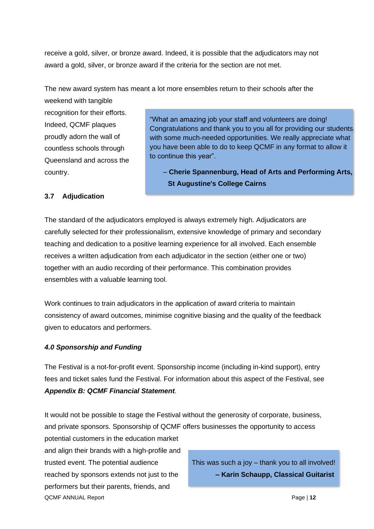receive a gold, silver, or bronze award. Indeed, it is possible that the adjudicators may not award a gold, silver, or bronze award if the criteria for the section are not met.

The new award system has meant a lot more ensembles return to their schools after the

weekend with tangible recognition for their efforts. Indeed, QCMF plaques proudly adorn the wall of countless schools through Queensland and across the country.

"What an amazing job your staff and volunteers are doing! Congratulations and thank you to you all for providing our students with some much-needed opportunities. We really appreciate what you have been able to do to keep QCMF in any format to allow it to continue this year".

– **Cherie Spannenburg, Head of Arts and Performing Arts, St Augustine's College Cairns**

### <span id="page-11-0"></span>**3.7 Adjudication**

The standard of the adjudicators employed is always extremely high. Adjudicators are carefully selected for their professionalism, extensive knowledge of primary and secondary teaching and dedication to a positive learning experience for all involved. Each ensemble receives a written adjudication from each adjudicator in the section (either one or two) together with an audio recording of their performance. This combination provides ensembles with a valuable learning tool.

Work continues to train adjudicators in the application of award criteria to maintain consistency of award outcomes, minimise cognitive biasing and the quality of the feedback given to educators and performers.

### <span id="page-11-1"></span>*4.0 Sponsorship and Funding*

The Festival is a not-for-profit event. Sponsorship income (including in-kind support), entry fees and ticket sales fund the Festival. For information about this aspect of the Festival, see *Appendix B: QCMF Financial Statement.*

It would not be possible to stage the Festival without the generosity of corporate, business, and private sponsors. Sponsorship of QCMF offers businesses the opportunity to access

QCMF ANNUAL Report **Page | 12** potential customers in the education market and align their brands with a high-profile and trusted event. The potential audience reached by sponsors extends not just to the performers but their parents, friends, and

This was such a joy – thank you to all involved! **– Karin Schaupp, Classical Guitarist**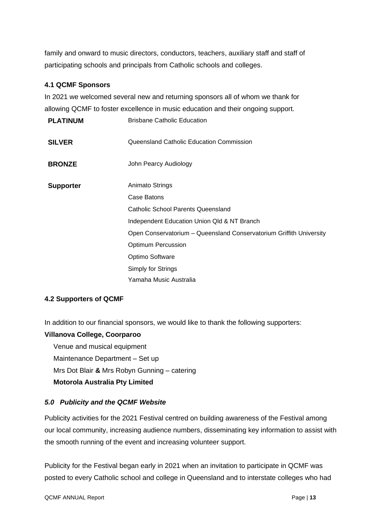family and onward to music directors, conductors, teachers, auxiliary staff and staff of participating schools and principals from Catholic schools and colleges.

#### <span id="page-12-0"></span>**4.1 QCMF Sponsors**

In 2021 we welcomed several new and returning sponsors all of whom we thank for allowing QCMF to foster excellence in music education and their ongoing support.

| <b>PLATINUM</b>  | <b>Brisbane Catholic Education</b>                                  |
|------------------|---------------------------------------------------------------------|
| <b>SILVER</b>    | Queensland Catholic Education Commission                            |
| <b>BRONZE</b>    | John Pearcy Audiology                                               |
| <b>Supporter</b> | <b>Animato Strings</b>                                              |
|                  | Case Batons                                                         |
|                  | Catholic School Parents Queensland                                  |
|                  | Independent Education Union Qld & NT Branch                         |
|                  | Open Conservatorium - Queensland Conservatorium Griffith University |
|                  | <b>Optimum Percussion</b>                                           |
|                  | Optimo Software                                                     |
|                  | Simply for Strings                                                  |
|                  | Yamaha Music Australia                                              |

#### <span id="page-12-1"></span>**4.2 Supporters of QCMF**

In addition to our financial sponsors, we would like to thank the following supporters:

#### **Villanova College, Coorparoo**

Venue and musical equipment

Maintenance Department – Set up

Mrs Dot Blair **&** Mrs Robyn Gunning – catering

#### **Motorola Australia Pty Limited**

#### <span id="page-12-2"></span>*5.0 Publicity and the QCMF Website*

Publicity activities for the 2021 Festival centred on building awareness of the Festival among our local community, increasing audience numbers, disseminating key information to assist with the smooth running of the event and increasing volunteer support.

Publicity for the Festival began early in 2021 when an invitation to participate in QCMF was posted to every Catholic school and college in Queensland and to interstate colleges who had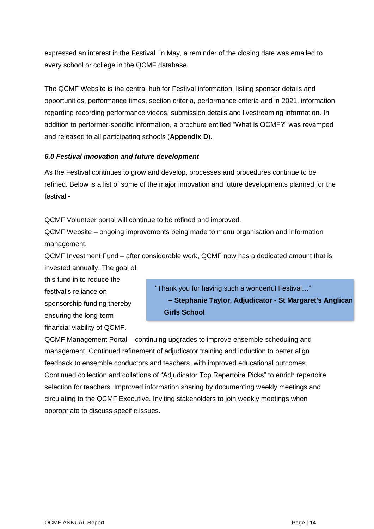expressed an interest in the Festival. In May, a reminder of the closing date was emailed to every school or college in the QCMF database.

The QCMF Website is the central hub for Festival information, listing sponsor details and opportunities, performance times, section criteria, performance criteria and in 2021, information regarding recording performance videos, submission details and livestreaming information. In addition to performer-specific information, a brochure entitled "What is QCMF?" was revamped and released to all participating schools (**Appendix D**).

#### <span id="page-13-0"></span>*6.0 Festival innovation and future development*

As the Festival continues to grow and develop, processes and procedures continue to be refined. Below is a list of some of the major innovation and future developments planned for the festival -

QCMF Volunteer portal will continue to be refined and improved.

QCMF Website – ongoing improvements being made to menu organisation and information management.

QCMF Investment Fund – after considerable work, QCMF now has a dedicated amount that is invested annually. The goal of

this fund in to reduce the festival's reliance on sponsorship funding thereby ensuring the long-term financial viability of QCMF.

"Thank you for having such a wonderful Festival…" **– Stephanie Taylor, Adjudicator - St Margaret's Anglican Girls School**

QCMF Management Portal – continuing upgrades to improve ensemble scheduling and management. Continued refinement of adjudicator training and induction to better align feedback to ensemble conductors and teachers, with improved educational outcomes. Continued collection and collations of "Adjudicator Top Repertoire Picks" to enrich repertoire selection for teachers. Improved information sharing by documenting weekly meetings and circulating to the QCMF Executive. Inviting stakeholders to join weekly meetings when appropriate to discuss specific issues.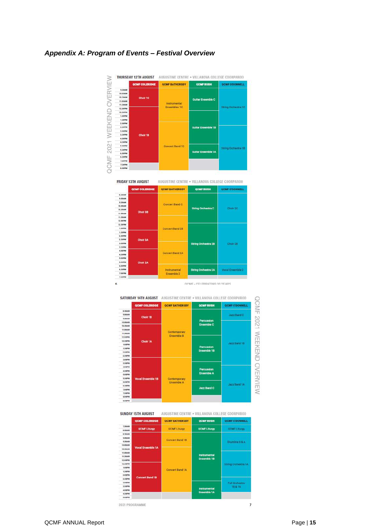#### <span id="page-14-0"></span>*Appendix A: Program of Events – Festival Overview*









**SUNDAY 15TH AUGUST** AUGUSTINE CENTRE . VILLANOVA COLLEGE COORPAROO



2021 PROGRAMME

 $\overline{1}$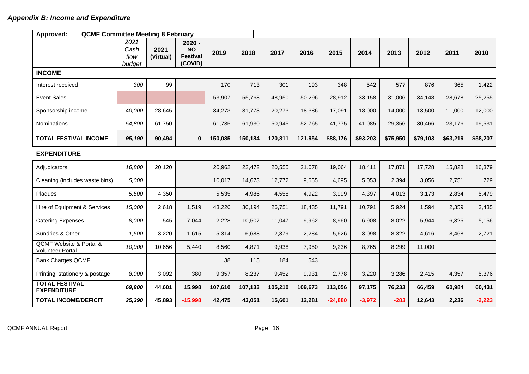<span id="page-15-0"></span>

| Approved:<br><b>QCMF Committee Meeting 8 February</b>             |                                |                   |                                                     |         |         |         |         |           |          |          |          |          |          |
|-------------------------------------------------------------------|--------------------------------|-------------------|-----------------------------------------------------|---------|---------|---------|---------|-----------|----------|----------|----------|----------|----------|
|                                                                   | 2021<br>Cash<br>flow<br>budget | 2021<br>(Virtual) | $2020 -$<br><b>NO</b><br><b>Festival</b><br>(COVID) | 2019    | 2018    | 2017    | 2016    | 2015      | 2014     | 2013     | 2012     | 2011     | 2010     |
| <b>INCOME</b>                                                     |                                |                   |                                                     |         |         |         |         |           |          |          |          |          |          |
| Interest received                                                 | 300                            | 99                |                                                     | 170     | 713     | 301     | 193     | 348       | 542      | 577      | 876      | 365      | 1,422    |
| <b>Event Sales</b>                                                |                                |                   |                                                     | 53,907  | 55,768  | 48,950  | 50,296  | 28,912    | 33,158   | 31,006   | 34,148   | 28,678   | 25,255   |
| Sponsorship income                                                | 40,000                         | 28,645            |                                                     | 34,273  | 31,773  | 20,273  | 18,386  | 17,091    | 18,000   | 14,000   | 13,500   | 11,000   | 12,000   |
| Nominations                                                       | 54,890                         | 61,750            |                                                     | 61,735  | 61,930  | 50,945  | 52,765  | 41,775    | 41,085   | 29,356   | 30,466   | 23,176   | 19,531   |
| <b>TOTAL FESTIVAL INCOME</b>                                      | 95,190                         | 90,494            | $\mathbf{0}$                                        | 150,085 | 150,184 | 120,811 | 121,954 | \$88,176  | \$93,203 | \$75,950 | \$79,103 | \$63,219 | \$58,207 |
| <b>EXPENDITURE</b>                                                |                                |                   |                                                     |         |         |         |         |           |          |          |          |          |          |
| Adjudicators                                                      | 16,800                         | 20,120            |                                                     | 20,962  | 22,472  | 20,555  | 21,078  | 19,064    | 18,411   | 17,871   | 17,728   | 15,828   | 16,379   |
| Cleaning (includes waste bins)                                    | 5,000                          |                   |                                                     | 10,017  | 14,673  | 12,772  | 9,655   | 4,695     | 5,053    | 2,394    | 3,056    | 2,751    | 729      |
| Plaques                                                           | 5,500                          | 4,350             |                                                     | 5,535   | 4,986   | 4,558   | 4,922   | 3,999     | 4,397    | 4,013    | 3,173    | 2,834    | 5,479    |
| Hire of Equipment & Services                                      | 15,000                         | 2,618             | 1,519                                               | 43,226  | 30,194  | 26,751  | 18,435  | 11,791    | 10,791   | 5,924    | 1,594    | 2,359    | 3,435    |
| <b>Catering Expenses</b>                                          | 8,000                          | 545               | 7,044                                               | 2,228   | 10,507  | 11,047  | 9,962   | 8,960     | 6,908    | 8,022    | 5,944    | 6,325    | 5,156    |
| Sundries & Other                                                  | 1,500                          | 3,220             | 1,615                                               | 5,314   | 6,688   | 2,379   | 2,284   | 5,626     | 3,098    | 8,322    | 4,616    | 8,468    | 2,721    |
| <b>QCMF Website &amp; Portal &amp;</b><br><b>Volunteer Portal</b> | 10,000                         | 10,656            | 5,440                                               | 8,560   | 4,871   | 9,938   | 7,950   | 9,236     | 8,765    | 8,299    | 11,000   |          |          |
| <b>Bank Charges QCMF</b>                                          |                                |                   |                                                     | 38      | 115     | 184     | 543     |           |          |          |          |          |          |
| Printing, stationery & postage                                    | 8,000                          | 3,092             | 380                                                 | 9,357   | 8,237   | 9,452   | 9,931   | 2,778     | 3,220    | 3,286    | 2,415    | 4,357    | 5,376    |
| <b>TOTAL FESTIVAL</b><br><b>EXPENDITURE</b>                       | 69,800                         | 44,601            | 15,998                                              | 107,610 | 107,133 | 105,210 | 109,673 | 113,056   | 97,175   | 76,233   | 66,459   | 60,984   | 60,431   |
| <b>TOTAL INCOME/DEFICIT</b>                                       | 25,390                         | 45,893            | $-15,998$                                           | 42,475  | 43,051  | 15,601  | 12,281  | $-24,880$ | $-3,972$ | $-283$   | 12,643   | 2,236    | $-2,223$ |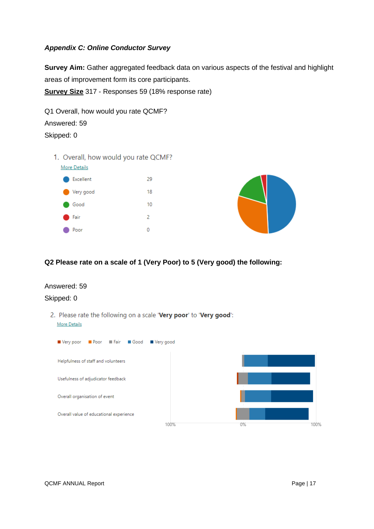#### <span id="page-16-0"></span>*Appendix C: Online Conductor Survey*

**Survey Aim:** Gather aggregated feedback data on various aspects of the festival and highlight areas of improvement form its core participants.

**Survey Size** 317 - Responses 59 (18% response rate)

Q1 Overall, how would you rate QCMF? Answered: 59 Skipped: 0

1. Overall, how would you rate QCMF?



#### **Q2 Please rate on a scale of 1 (Very Poor) to 5 (Very good) the following:**

#### Answered: 59

#### Skipped: 0

2. Please rate the following on a scale 'Very poor' to 'Very good': **More Details** 

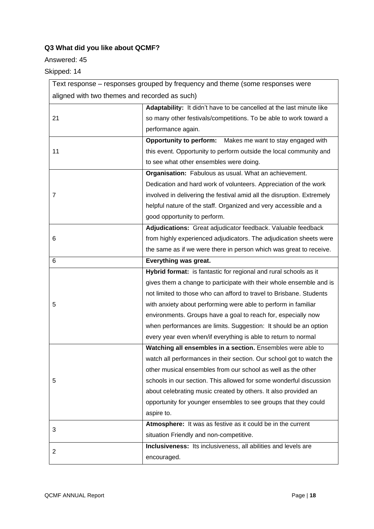## **Q3 What did you like about QCMF?**

#### Answered: 45

Skipped: 14

| Text response – responses grouped by frequency and theme (some responses were |                                                                        |  |  |  |  |  |
|-------------------------------------------------------------------------------|------------------------------------------------------------------------|--|--|--|--|--|
| aligned with two themes and recorded as such)                                 |                                                                        |  |  |  |  |  |
|                                                                               | Adaptability: It didn't have to be cancelled at the last minute like   |  |  |  |  |  |
| 21                                                                            | so many other festivals/competitions. To be able to work toward a      |  |  |  |  |  |
|                                                                               | performance again.                                                     |  |  |  |  |  |
|                                                                               | Opportunity to perform: Makes me want to stay engaged with             |  |  |  |  |  |
| 11                                                                            | this event. Opportunity to perform outside the local community and     |  |  |  |  |  |
|                                                                               | to see what other ensembles were doing.                                |  |  |  |  |  |
|                                                                               | Organisation: Fabulous as usual. What an achievement.                  |  |  |  |  |  |
|                                                                               | Dedication and hard work of volunteers. Appreciation of the work       |  |  |  |  |  |
| 7                                                                             | involved in delivering the festival amid all the disruption. Extremely |  |  |  |  |  |
|                                                                               | helpful nature of the staff. Organized and very accessible and a       |  |  |  |  |  |
|                                                                               | good opportunity to perform.                                           |  |  |  |  |  |
|                                                                               | Adjudications: Great adjudicator feedback. Valuable feedback           |  |  |  |  |  |
| 6                                                                             | from highly experienced adjudicators. The adjudication sheets were     |  |  |  |  |  |
|                                                                               | the same as if we were there in person which was great to receive.     |  |  |  |  |  |
| 6                                                                             | Everything was great.                                                  |  |  |  |  |  |
|                                                                               | Hybrid format: is fantastic for regional and rural schools as it       |  |  |  |  |  |
|                                                                               | gives them a change to participate with their whole ensemble and is    |  |  |  |  |  |
|                                                                               | not limited to those who can afford to travel to Brisbane. Students    |  |  |  |  |  |
| 5                                                                             | with anxiety about performing were able to perform in familiar         |  |  |  |  |  |
|                                                                               | environments. Groups have a goal to reach for, especially now          |  |  |  |  |  |
|                                                                               | when performances are limits. Suggestion: It should be an option       |  |  |  |  |  |
|                                                                               | every year even when/if everything is able to return to normal         |  |  |  |  |  |
|                                                                               | Watching all ensembles in a section. Ensembles were able to            |  |  |  |  |  |
|                                                                               | watch all performances in their section. Our school got to watch the   |  |  |  |  |  |
|                                                                               | other musical ensembles from our school as well as the other           |  |  |  |  |  |
| 5                                                                             | schools in our section. This allowed for some wonderful discussion     |  |  |  |  |  |
|                                                                               | about celebrating music created by others. It also provided an         |  |  |  |  |  |
|                                                                               | opportunity for younger ensembles to see groups that they could        |  |  |  |  |  |
|                                                                               | aspire to.                                                             |  |  |  |  |  |
|                                                                               | Atmosphere: It was as festive as it could be in the current            |  |  |  |  |  |
| 3                                                                             | situation Friendly and non-competitive.                                |  |  |  |  |  |
|                                                                               | Inclusiveness: Its inclusiveness, all abilities and levels are         |  |  |  |  |  |
| $\overline{2}$                                                                | encouraged.                                                            |  |  |  |  |  |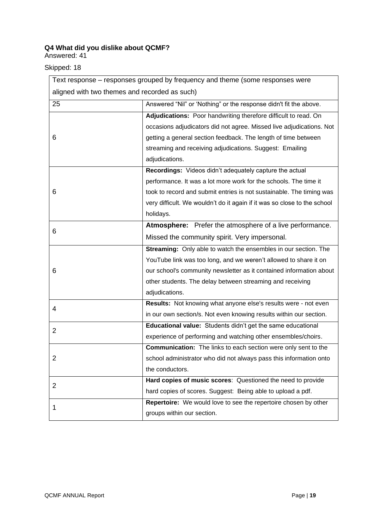### **Q4 What did you dislike about QCMF?**

Answered: 41

### Skipped: 18

| Text response - responses grouped by frequency and theme (some responses were |                                                                          |  |  |  |  |
|-------------------------------------------------------------------------------|--------------------------------------------------------------------------|--|--|--|--|
| aligned with two themes and recorded as such)                                 |                                                                          |  |  |  |  |
| 25                                                                            | Answered "Nil" or 'Nothing" or the response didn't fit the above.        |  |  |  |  |
|                                                                               | Adjudications: Poor handwriting therefore difficult to read. On          |  |  |  |  |
|                                                                               | occasions adjudicators did not agree. Missed live adjudications. Not     |  |  |  |  |
| 6                                                                             | getting a general section feedback. The length of time between           |  |  |  |  |
|                                                                               | streaming and receiving adjudications. Suggest: Emailing                 |  |  |  |  |
|                                                                               | adjudications.                                                           |  |  |  |  |
|                                                                               | Recordings: Videos didn't adequately capture the actual                  |  |  |  |  |
|                                                                               | performance. It was a lot more work for the schools. The time it         |  |  |  |  |
| 6                                                                             | took to record and submit entries is not sustainable. The timing was     |  |  |  |  |
|                                                                               | very difficult. We wouldn't do it again if it was so close to the school |  |  |  |  |
|                                                                               | holidays.                                                                |  |  |  |  |
|                                                                               | Atmosphere: Prefer the atmosphere of a live performance.                 |  |  |  |  |
| 6                                                                             | Missed the community spirit. Very impersonal.                            |  |  |  |  |
|                                                                               | Streaming: Only able to watch the ensembles in our section. The          |  |  |  |  |
|                                                                               | YouTube link was too long, and we weren't allowed to share it on         |  |  |  |  |
| 6                                                                             | our school's community newsletter as it contained information about      |  |  |  |  |
|                                                                               | other students. The delay between streaming and receiving                |  |  |  |  |
|                                                                               | adjudications.                                                           |  |  |  |  |
| 4                                                                             | Results: Not knowing what anyone else's results were - not even          |  |  |  |  |
|                                                                               | in our own section/s. Not even knowing results within our section.       |  |  |  |  |
| $\overline{2}$                                                                | Educational value: Students didn't get the same educational              |  |  |  |  |
|                                                                               | experience of performing and watching other ensembles/choirs.            |  |  |  |  |
|                                                                               | <b>Communication:</b> The links to each section were only sent to the    |  |  |  |  |
| 2                                                                             | school administrator who did not always pass this information onto       |  |  |  |  |
|                                                                               | the conductors.                                                          |  |  |  |  |
| $\overline{2}$                                                                | Hard copies of music scores: Questioned the need to provide              |  |  |  |  |
|                                                                               | hard copies of scores. Suggest: Being able to upload a pdf.              |  |  |  |  |
| 1                                                                             | Repertoire: We would love to see the repertoire chosen by other          |  |  |  |  |
|                                                                               | groups within our section.                                               |  |  |  |  |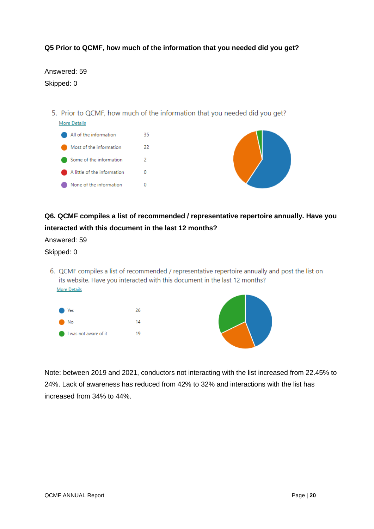#### **Q5 Prior to QCMF, how much of the information that you needed did you get?**

Answered: 59 Skipped: 0

5. Prior to QCMF, how much of the information that you needed did you get?



## **Q6. QCMF compiles a list of recommended / representative repertoire annually. Have you interacted with this document in the last 12 months?**

Answered: 59

#### Skipped: 0

6. QCMF compiles a list of recommended / representative repertoire annually and post the list on its website. Have you interacted with this document in the last 12 months? **More Details** 



Note: between 2019 and 2021, conductors not interacting with the list increased from 22.45% to 24%. Lack of awareness has reduced from 42% to 32% and interactions with the list has increased from 34% to 44%.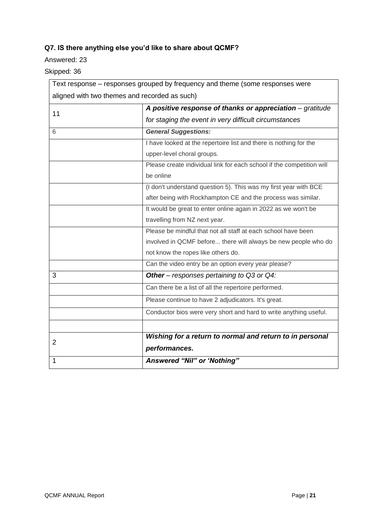## **Q7. IS there anything else you'd like to share about QCMF?**

#### Answered: 23

Skipped: 36

| Text response – responses grouped by frequency and theme (some responses were |                                                                       |  |  |  |  |  |
|-------------------------------------------------------------------------------|-----------------------------------------------------------------------|--|--|--|--|--|
| aligned with two themes and recorded as such)                                 |                                                                       |  |  |  |  |  |
| 11                                                                            | A positive response of thanks or appreciation - gratitude             |  |  |  |  |  |
|                                                                               | for staging the event in very difficult circumstances                 |  |  |  |  |  |
| 6                                                                             | <b>General Suggestions:</b>                                           |  |  |  |  |  |
|                                                                               | I have looked at the repertoire list and there is nothing for the     |  |  |  |  |  |
|                                                                               | upper-level choral groups.                                            |  |  |  |  |  |
|                                                                               | Please create individual link for each school if the competition will |  |  |  |  |  |
|                                                                               | be online                                                             |  |  |  |  |  |
|                                                                               | (I don't understand question 5). This was my first year with BCE      |  |  |  |  |  |
|                                                                               | after being with Rockhampton CE and the process was similar.          |  |  |  |  |  |
|                                                                               | It would be great to enter online again in 2022 as we won't be        |  |  |  |  |  |
|                                                                               | travelling from NZ next year.                                         |  |  |  |  |  |
|                                                                               | Please be mindful that not all staff at each school have been         |  |  |  |  |  |
|                                                                               | involved in QCMF before there will always be new people who do        |  |  |  |  |  |
|                                                                               | not know the ropes like others do.                                    |  |  |  |  |  |
|                                                                               | Can the video entry be an option every year please?                   |  |  |  |  |  |
| 3                                                                             | Other - responses pertaining to Q3 or Q4:                             |  |  |  |  |  |
|                                                                               | Can there be a list of all the repertoire performed.                  |  |  |  |  |  |
|                                                                               | Please continue to have 2 adjudicators. It's great.                   |  |  |  |  |  |
|                                                                               | Conductor bios were very short and hard to write anything useful.     |  |  |  |  |  |
|                                                                               |                                                                       |  |  |  |  |  |
| $\overline{2}$                                                                | Wishing for a return to normal and return to in personal              |  |  |  |  |  |
|                                                                               | performances.                                                         |  |  |  |  |  |
| 1                                                                             | Answered "Nil" or 'Nothing"                                           |  |  |  |  |  |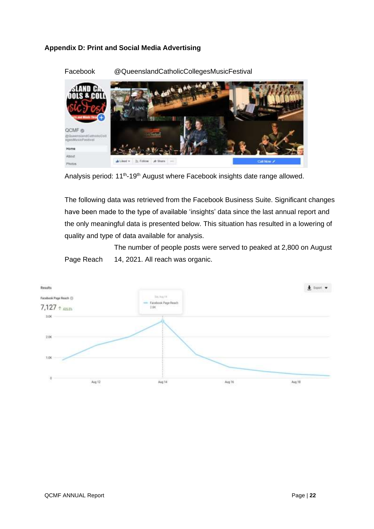#### <span id="page-21-0"></span>**Appendix D: Print and Social Media Advertising**



Facebook @QueenslandCatholicCollegesMusicFestival

The following data was retrieved from the Facebook Business Suite. Significant changes have been made to the type of available 'insights' data since the last annual report and the only meaningful data is presented below. This situation has resulted in a lowering of quality and type of data available for analysis.

Page Reach The number of people posts were served to peaked at 2,800 on August 14, 2021. All reach was organic.



Analysis period: 11<sup>th</sup>-19<sup>th</sup> August where Facebook insights date range allowed.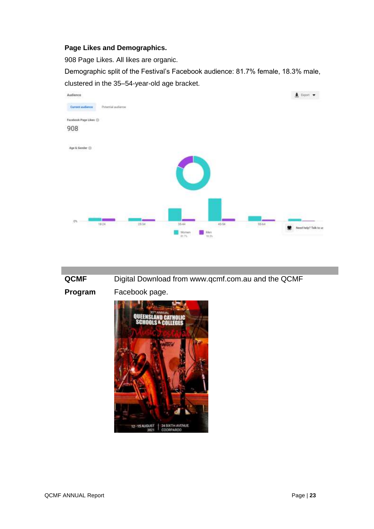#### **Page Likes and Demographics.**

908 Page Likes. All likes are organic.

Demographic split of the Festival's Facebook audience: 81.7% female, 18.3% male, clustered in the 35–54-year-old age bracket.



**QCMF**  Digital Download from www.qcmf.com.au and the QCMF

**Program**

Facebook page.

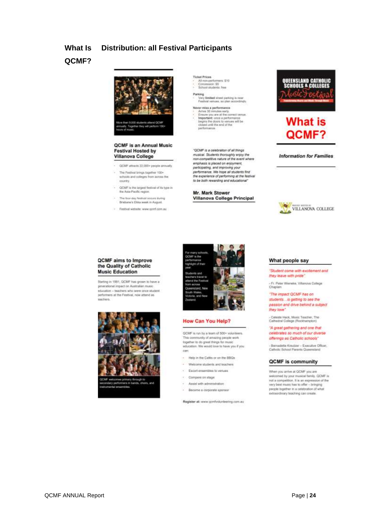#### **What Is Distribution: all Festival Participants**

## **QCMF?**



#### **QCMF** is an Annual Music **Festival Hosted by** Villanova College

- QCMF attracts 22,000+ people annually ×
- The Festival brings together 100+ schools and colleges from across the country.
- QCMF is the largest festival of its type in<br>the Asia-Pacific region.
- · The bunday feetbal concre duties Brisbane's EXka week in August
- Festival website: www.sperf.com.au

Ticket Prices<br>- All non-perform<br>- Concession: \$5<br>- School students .<br>15. 910 ta han

y limited street perking is no Feathcal versues, so plan a

er miss a performi We must a percentance<br>
Ensure you are at the correct versus<br>
Important: once a performance<br>
heges fre doors to versues will be<br>
cliented until the and of the<br>
performance.

"QCMF is a celebration of all things musical. Students thoroughly enjoy the<br>non-competitive nature of the event where emphasis is placed on enjoyment,<br>participating, and improving your performance. We hope all students find<br>the experience of performing at the featival<br>to be both rewarding and educational"

Mr. Mark Stower Villanova College Principal





#### **Information for Families**



#### **QCMF** aims to Improve the Quality of Catholic **Music Education**

Starting in 1991, GCMF has grown to have a generational impact on Australian music .<br>education -- teachers who were once student<br>performers at the Pestival, now attend as leachers





#### **How Can You Help?**

QCMF is run by a team of 500+ volunteers. This community of armizing people work<br>together to do great things for music education. We would love to have you if you can:

- Help in the Cafés or on the BBQs
- Welcome students and teachers
- Escort ensembles to venues
- Compere on stage
- Assist with administration
- Become a corporate sponsor

Register at: www.qcmfvolunteering.com.au



#### "Student come with excitement and they leave with pride"

- Fr. Pater Wieneke, Villanova College ó

"The impact QCMF has on students... is getting to see the passion and drive behind a subject they love

- Caleste Hack, Music Teacher, The<br>Cathedral College (Rockhampton)

#### "A great gathering and one that celebrates so much of our diverse offerings as Catholic schools"

- Bernadette Kreutzer - Executive Officer,<br>Catholic School Paranta Queensland

#### **QCMF** is community

When you arrive at QCMF you are ween you arrive at utcar you are<br>watcomed by your musical family. QCMF is<br>not a competition. It is an expension of the<br>way best music has to offer - temping people together in a celebration of what<br>extraordinary teaching can create.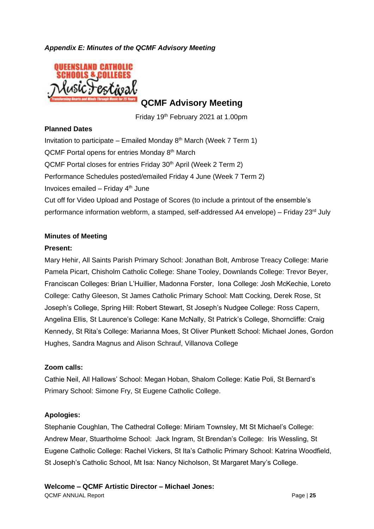#### <span id="page-24-0"></span>*Appendix E: Minutes of the QCMF Advisory Meeting*



**QCMF Advisory Meeting**

Friday 19th February 2021 at 1.00pm

#### **Planned Dates**

Invitation to participate – Emailed Monday  $8<sup>th</sup>$  March (Week 7 Term 1) QCMF Portal opens for entries Monday 8<sup>th</sup> March QCMF Portal closes for entries Friday 30<sup>th</sup> April (Week 2 Term 2) Performance Schedules posted/emailed Friday 4 June (Week 7 Term 2) Invoices emailed  $-$  Friday  $4<sup>th</sup>$  June Cut off for Video Upload and Postage of Scores (to include a printout of the ensemble's performance information webform, a stamped, self-addressed A4 envelope) – Friday 23rd July

#### **Minutes of Meeting**

#### **Present:**

Mary Hehir, All Saints Parish Primary School: Jonathan Bolt, Ambrose Treacy College: Marie Pamela Picart, Chisholm Catholic College: Shane Tooley, Downlands College: Trevor Beyer, Franciscan Colleges: Brian L'Huillier, Madonna Forster, Iona College: Josh McKechie, Loreto College: Cathy Gleeson, St James Catholic Primary School: Matt Cocking, Derek Rose, St Joseph's College, Spring Hill: Robert Stewart, St Joseph's Nudgee College: Ross Capern, Angelina Ellis, St Laurence's College: Kane McNally, St Patrick's College, Shorncliffe: Craig Kennedy, St Rita's College: Marianna Moes, St Oliver Plunkett School: Michael Jones, Gordon Hughes, Sandra Magnus and Alison Schrauf, Villanova College

#### **Zoom calls:**

Cathie Neil, All Hallows' School: Megan Hoban, Shalom College: Katie Poli, St Bernard's Primary School: Simone Fry, St Eugene Catholic College.

### **Apologies:**

Stephanie Coughlan, The Cathedral College: Miriam Townsley, Mt St Michael's College: Andrew Mear, Stuartholme School: Jack Ingram, St Brendan's College: Iris Wessling, St Eugene Catholic College: Rachel Vickers, St Ita's Catholic Primary School: Katrina Woodfield, St Joseph's Catholic School, Mt Isa: Nancy Nicholson, St Margaret Mary's College.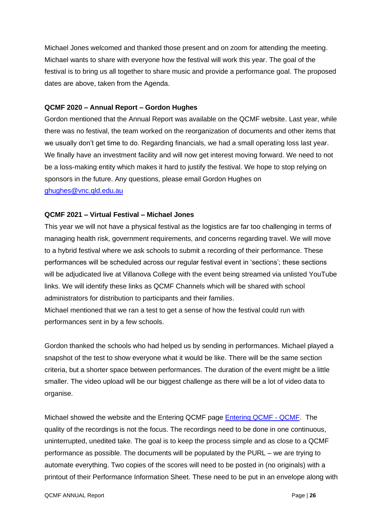Michael Jones welcomed and thanked those present and on zoom for attending the meeting. Michael wants to share with everyone how the festival will work this year. The goal of the festival is to bring us all together to share music and provide a performance goal. The proposed dates are above, taken from the Agenda.

#### **QCMF 2020 – Annual Report – Gordon Hughes**

Gordon mentioned that the Annual Report was available on the QCMF website. Last year, while there was no festival, the team worked on the reorganization of documents and other items that we usually don't get time to do. Regarding financials, we had a small operating loss last year. We finally have an investment facility and will now get interest moving forward. We need to not be a loss-making entity which makes it hard to justify the festival. We hope to stop relying on sponsors in the future. Any questions, please email Gordon Hughes on [ghughes@vnc.qld.edu.au](mailto:ghughes@vnc.qld.edu.au)

#### **QCMF 2021 – Virtual Festival – Michael Jones**

This year we will not have a physical festival as the logistics are far too challenging in terms of managing health risk, government requirements, and concerns regarding travel. We will move to a hybrid festival where we ask schools to submit a recording of their performance. These performances will be scheduled across our regular festival event in 'sections'; these sections will be adjudicated live at Villanova College with the event being streamed via unlisted YouTube links. We will identify these links as QCMF Channels which will be shared with school administrators for distribution to participants and their families. Michael mentioned that we ran a test to get a sense of how the festival could run with

performances sent in by a few schools.

Gordon thanked the schools who had helped us by sending in performances. Michael played a snapshot of the test to show everyone what it would be like. There will be the same section criteria, but a shorter space between performances. The duration of the event might be a little smaller. The video upload will be our biggest challenge as there will be a lot of video data to organise.

Michael showed the website and the Entering QCMF page [Entering QCMF -](https://aus01.safelinks.protection.outlook.com/?url=https%3A%2F%2Fqcmf.com.au%2Fentering-qcmf%2F&data=04%7C01%7C%7C56405d87c41e4557c3d208d8df669c9d%7Cbcc352a525aa47f4872a2a6412bc6436%7C0%7C0%7C637504979096411427%7CUnknown%7CTWFpbGZsb3d8eyJWIjoiMC4wLjAwMDAiLCJQIjoiV2luMzIiLCJBTiI6Ik1haWwiLCJXVCI6Mn0%3D%7C1000&sdata=copXSgcqZkBPw9MiiOxpgTwHVtBdGdLOnNAyW0lku2E%3D&reserved=0) QCMF. The quality of the recordings is not the focus. The recordings need to be done in one continuous, uninterrupted, unedited take. The goal is to keep the process simple and as close to a QCMF performance as possible. The documents will be populated by the PURL – we are trying to automate everything. Two copies of the scores will need to be posted in (no originals) with a printout of their Performance Information Sheet. These need to be put in an envelope along with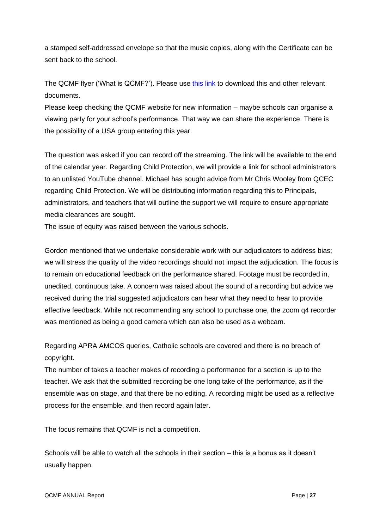a stamped self-addressed envelope so that the music copies, along with the Certificate can be sent back to the school.

The QCMF flyer ('What is QCMF?'). Please use [this link](https://drive.google.com/drive/folders/1VPTRLCg8Ddwpn4vTZ3hSIIAPwlX73eo4?usp=sharing) to download this and other relevant documents.

Please keep checking the QCMF website for new information – maybe schools can organise a viewing party for your school's performance. That way we can share the experience. There is the possibility of a USA group entering this year.

The question was asked if you can record off the streaming. The link will be available to the end of the calendar year. Regarding Child Protection, we will provide a link for school administrators to an unlisted YouTube channel. Michael has sought advice from Mr Chris Wooley from QCEC regarding Child Protection. We will be distributing information regarding this to Principals, administrators, and teachers that will outline the support we will require to ensure appropriate media clearances are sought.

The issue of equity was raised between the various schools.

Gordon mentioned that we undertake considerable work with our adjudicators to address bias; we will stress the quality of the video recordings should not impact the adjudication. The focus is to remain on educational feedback on the performance shared. Footage must be recorded in, unedited, continuous take. A concern was raised about the sound of a recording but advice we received during the trial suggested adjudicators can hear what they need to hear to provide effective feedback. While not recommending any school to purchase one, the zoom q4 recorder was mentioned as being a good camera which can also be used as a webcam.

Regarding APRA AMCOS queries, Catholic schools are covered and there is no breach of copyright.

The number of takes a teacher makes of recording a performance for a section is up to the teacher. We ask that the submitted recording be one long take of the performance, as if the ensemble was on stage, and that there be no editing. A recording might be used as a reflective process for the ensemble, and then record again later.

The focus remains that QCMF is not a competition.

Schools will be able to watch all the schools in their section – this is a bonus as it doesn't usually happen.